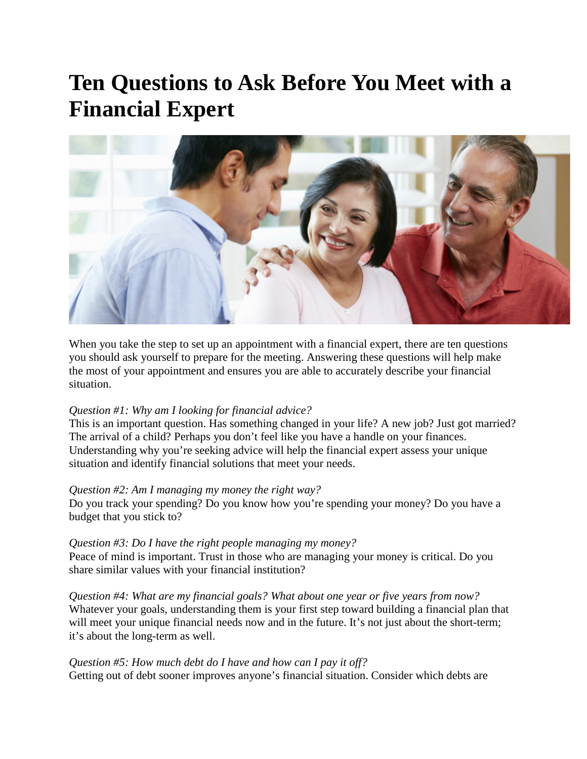# **Ten Questions to Ask Before You Meet with a Financial Expert**



When you take the step to set up an appointment with a financial expert, there are ten questions you should ask yourself to prepare for the meeting. Answering these questions will help make the most of your appointment and ensures you are able to accurately describe your financial situation.

# *Question #1: Why am I looking for financial advice?*

This is an important question. Has something changed in your life? A new job? Just got married? The arrival of a child? Perhaps you don't feel like you have a handle on your finances. Understanding why you're seeking advice will help the financial expert assess your unique situation and identify financial solutions that meet your needs.

# *Question #2: Am I managing my money the right way?*

Do you track your spending? Do you know how you're spending your money? Do you have a budget that you stick to?

# *Question #3: Do I have the right people managing my money?*

Peace of mind is important. Trust in those who are managing your money is critical. Do you share similar values with your financial institution?

*Question #4: What are my financial goals? What about one year or five years from now?* Whatever your goals, understanding them is your first step toward building a financial plan that will meet your unique financial needs now and in the future. It's not just about the short-term; it's about the long-term as well.

# *Question #5: How much debt do I have and how can I pay it off?* Getting out of debt sooner improves anyone's financial situation. Consider which debts are